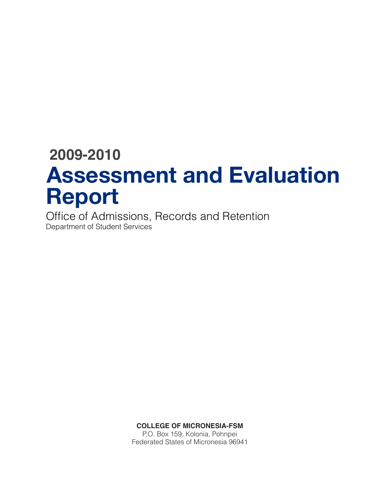# **2009-2010 Assessment and Evaluation Report**

Office of Admissions, Records and Retention Department of Student Services

**COLLEGE OF MICRONESIA-FSM**

P.O. Box 159, Kolonia, Pohnpei Federated States of Micronesia 96941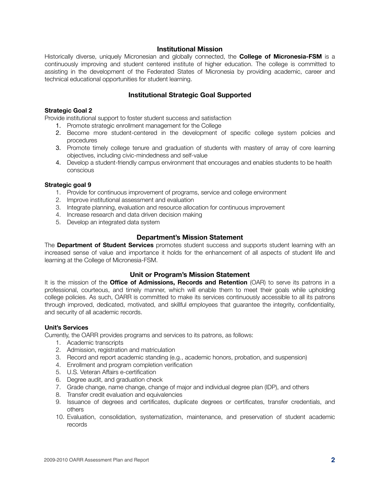#### **Institutional Mission**

Historically diverse, uniquely Micronesian and globally connected, the **College of Micronesia-FSM** is a continuously improving and student centered institute of higher education. The college is committed to assisting in the development of the Federated States of Micronesia by providing academic, career and technical educational opportunities for student learning.

# **Institutional Strategic Goal Supported**

#### **Strategic Goal 2**

Provide institutional support to foster student success and satisfaction

- 1. Promote strategic enrollment management for the College
- 2. Become more student-centered in the development of specific college system policies and procedures
- 3. Promote timely college tenure and graduation of students with mastery of array of core learning objectives, including civic-mindedness and self-value
- 4. Develop a student-friendly campus environment that encourages and enables students to be health conscious

#### **Strategic goal 9**

- 1. Provide for continuous improvement of programs, service and college environment
- 2. Improve institutional assessment and evaluation
- 3. Integrate planning, evaluation and resource allocation for continuous improvement
- 4. Increase research and data driven decision making
- 5. Develop an integrated data system

# **Department's Mission Statement**

The **Department of Student Services** promotes student success and supports student learning with an increased sense of value and importance it holds for the enhancement of all aspects of student life and learning at the College of Micronesia-FSM.

# **Unit or Program's Mission Statement**

It is the mission of the **Office of Admissions, Records and Retention** (OAR) to serve its patrons in a professional, courteous, and timely manner, which will enable them to meet their goals while upholding college policies. As such, OARR is committed to make its services continuously accessible to all its patrons through improved, dedicated, motivated, and skillful employees that guarantee the integrity, confidentiality, and security of all academic records.

#### **Unit's Services**

Currently, the OARR provides programs and services to its patrons, as follows:

- 1. Academic transcripts
- 2. Admission, registration and matriculation
- 3. Record and report academic standing (e.g., academic honors, probation, and suspension)
- 4. Enrollment and program completion verification
- 5. U.S. Veteran Affairs e-certification
- 6. Degree audit, and graduation check
- 7. Grade change, name change, change of major and individual degree plan (IDP), and others
- 8. Transfer credit evaluation and equivalencies
- 9. Issuance of degrees and certificates, duplicate degrees or certificates, transfer credentials, and others
- 10. Evaluation, consolidation, systematization, maintenance, and preservation of student academic records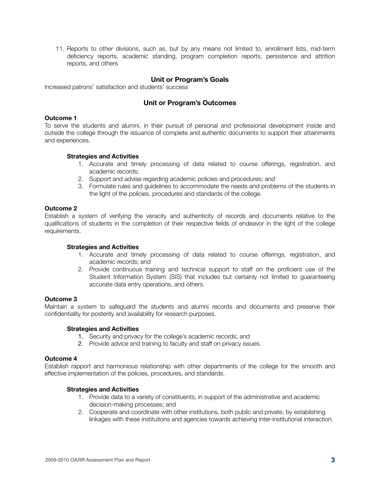11. Reports to other divisions, such as, but by any means not limited to, enrollment lists, mid-term deficiency reports, academic standing, program completion reports, persistence and attrition reports, and others

# **Unit or Program's Goals**

Increased patrons' satisfaction and students' success

# **Unit or Program's Outcomes**

#### **Outcome 1**

To serve the students and alumni, in their pursuit of personal and professional development inside and outside the college through the issuance of complete and authentic documents to support their attainments and experiences.

#### **Strategies and Activities**

- 1. Accurate and timely processing of data related to course offerings, registration, and academic records;
- 2. Support and advise regarding academic policies and procedures; and
- 3. Formulate rules and guidelines to accommodate the needs and problems of the students in the light of the policies, procedures and standards of the college.

#### **Outcome 2**

Establish a system of verifying the veracity and authenticity of records and documents relative to the qualifications of students in the completion of their respective fields of endeavor in the light of the college requirements.

#### **Strategies and Activities**

- 1. Accurate and timely processing of data related to course offerings, registration, and academic records; and
- 2. Provide continuous training and technical support to staff on the proficient use of the Student Information System (SIS) that includes but certainly not limited to guaranteeing accurate data entry operations, and others.

#### **Outcome 3**

Maintain a system to safeguard the students and alumni records and documents and preserve their confidentiality for posterity and availability for research purposes.

#### **Strategies and Activities**

- 1. Security and privacy for the college's academic records; and
- 2. Provide advice and training to faculty and staff on privacy issues.

#### **Outcome 4**

Establish rapport and harmonious relationship with other departments of the college for the smooth and effective implementation of the policies, procedures, and standards.

#### **Strategies and Activities**

- 1. Provide data to a variety of constituents, in support of the administrative and academic decision-making processes; and
- 2. Cooperate and coordinate with other institutions, both public and private, by establishing linkages with these institutions and agencies towards achieving inter-institutional interaction.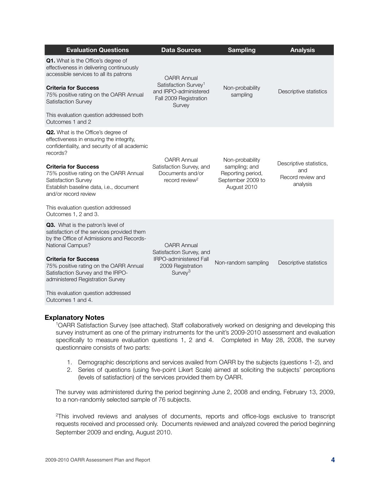| <b>Evaluation Questions</b>                                                                                                                                                                                                                                                                                                                                                  | <b>Data Sources</b>                                                                                                         | <b>Sampling</b>                                                                           | <b>Analysis</b>                                                 |
|------------------------------------------------------------------------------------------------------------------------------------------------------------------------------------------------------------------------------------------------------------------------------------------------------------------------------------------------------------------------------|-----------------------------------------------------------------------------------------------------------------------------|-------------------------------------------------------------------------------------------|-----------------------------------------------------------------|
| Q1. What is the Office's degree of<br>effectiveness in delivering continuously<br>accessible services to all its patrons<br><b>Criteria for Success</b><br>75% positive rating on the OARR Annual<br>Satisfaction Survey<br>This evaluation question addressed both<br>Outcomes 1 and 2                                                                                      | <b>OARR Annual</b><br>Satisfaction Survey <sup>1</sup><br>and IRPO-administered<br>Fall 2009 Registration<br>Survey         | Non-probability<br>sampling                                                               | Descriptive statistics                                          |
| Q2. What is the Office's degree of<br>effectiveness in ensuring the integrity,<br>confidentiality, and security of all academic<br>records?<br><b>Criteria for Success</b><br>75% positive rating on the OARR Annual<br>Satisfaction Survey<br>Establish baseline data, i.e., document<br>and/or record review<br>This evaluation question addressed<br>Outcomes 1, 2 and 3. | <b>OARR Annual</b><br>Satisfaction Survey, and<br>Documents and/or<br>record review <sup>2</sup>                            | Non-probability<br>sampling; and<br>Reporting period,<br>September 2009 to<br>August 2010 | Descriptive statistics,<br>and<br>Record review and<br>analysis |
| Q3. What is the patron's level of<br>satisfaction of the services provided them<br>by the Office of Admissions and Records-<br>National Campus?<br><b>Criteria for Success</b><br>75% positive rating on the OARR Annual<br>Satisfaction Survey and the IRPO-<br>administered Registration Survey<br>This evaluation question addressed<br>Outcomes 1 and 4.                 | <b>OARR Annual</b><br>Satisfaction Survey, and<br><b>IRPO-administered Fall</b><br>2009 Registration<br>Survey <sup>3</sup> | Non-random sampling                                                                       | Descriptive statistics                                          |

#### **Explanatory Notes**

1OARR Satisfaction Survey (see attached). Staff collaboratively worked on designing and developing this survey instrument as one of the primary instruments for the unit's 2009-2010 assessment and evaluation specifically to measure evaluation questions 1, 2 and 4. Completed in May 28, 2008, the survey questionnaire consists of two parts:

- 1. Demographic descriptions and services availed from OARR by the subjects (questions 1-2), and
- 2. Series of questions (using five-point Likert Scale) aimed at soliciting the subjects' perceptions (levels of satisfaction) of the services provided them by OARR.

The survey was administered during the period beginning June 2, 2008 and ending, February 13, 2009, to a non-randomly selected sample of 76 subjects.

<sup>2</sup>This involved reviews and analyses of documents, reports and office-logs exclusive to transcript requests received and processed only. Documents reviewed and analyzed covered the period beginning September 2009 and ending, August 2010.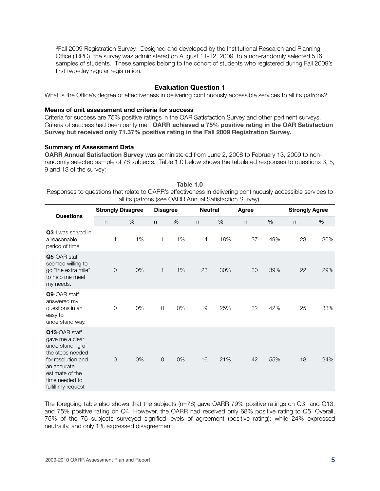<sup>3</sup>Fall 2009 Registration Survey. Designed and developed by the Institutional Research and Planning Office (IRPO), the survey was administered on August 11-12, 2009 to a non-randomly selected 516 samples of students. These samples belong to the cohort of students who registered during Fall 2009's first two-day regular registration.

# **Evaluation Question 1**

What is the Office's degree of effectiveness in delivering continuously accessible services to all its patrons?

#### **Means of unit assessment and criteria for success**

Criteria for success are 75% positive ratings in the OAR Satisfaction Survey and other pertinent surveys. Criteria of success had been partly met. **OARR achieved a 75% positive rating in the OAR Satisfaction Survey but received only 71.37% positive rating in the Fall 2009 Registration Survey.**

#### **Summary of Assessment Data**

**OARR Annual Satisfaction Survey** was administered from June 2, 2008 to February 13, 2009 to nonrandomly selected sample of 76 subjects. Table 1.0 below shows the tabulated responses to questions 3, 5, 9 and 13 of the survey:

| Table 1.0                                                                                                    |
|--------------------------------------------------------------------------------------------------------------|
| Responses to questions that relate to OARR's effectiveness in delivering continuously accessible services to |
| all its patrons (see OARR Annual Satisfaction Survey).                                                       |

|                                                                                                                                                                          | <b>Strongly Disagree</b> |    | <b>Disagree</b> |    | <b>Neutral</b><br>Agree |     |              | <b>Strongly Agree</b> |              |     |
|--------------------------------------------------------------------------------------------------------------------------------------------------------------------------|--------------------------|----|-----------------|----|-------------------------|-----|--------------|-----------------------|--------------|-----|
| <b>Questions</b>                                                                                                                                                         | $\mathsf{n}$             | %  | n               | %  | $\mathsf{n}$            | %   | $\mathsf{n}$ | %                     | $\mathsf{n}$ | %   |
| Q3-I was served in<br>a reasonable<br>period of time                                                                                                                     | 1                        | 1% | 1               | 1% | 14                      | 18% | 37           | 49%                   | 23           | 30% |
| Q5-OAR staff<br>seemed willing to<br>go "the extra mile"<br>to help me meet<br>my needs.                                                                                 | $\mathsf O$              | 0% | 1               | 1% | 23                      | 30% | 30           | 39%                   | 22           | 29% |
| Q9-OAR staff<br>answered my<br>questions in an<br>easy to<br>understand way.                                                                                             | $\overline{O}$           | 0% | $\mathbf 0$     | 0% | 19                      | 25% | 32           | 42%                   | 25           | 33% |
| Q13-OAR staff<br>gave me a clear<br>understanding of<br>the steps needed<br>for resolution and<br>an accurate<br>estimate of the<br>time needed to<br>fulfill my request | $\mathsf{O}$             | 0% | $\sqrt{a}$      | 0% | 16                      | 21% | 42           | 55%                   | 18           | 24% |

The foregoing table also shows that the subjects (n=76) gave OARR 79% positive ratings on Q3 and Q13, and 75% positive rating on Q4. However, the OARR had received only 68% positive rating to Q5. Overall, 75% of the 76 subjects surveyed signified levels of agreement (positive rating); while 24% expressed neutrality, and only 1% expressed disagreement.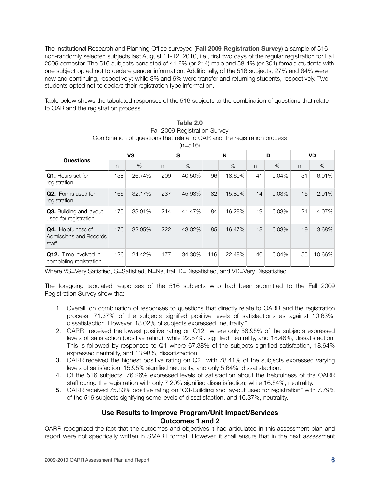The Institutional Research and Planning Office surveyed (**Fall 2009 Registration Survey**) a sample of 516 non-randomly selected subjects last August 11-12, 2010, i.e., first two days of the regular registration for Fall 2009 semester. The 516 subjects consisted of 41.6% (or 214) male and 58.4% (or 301) female students with one subject opted not to declare gender information. Additionally, of the 516 subjects, 27% and 64% were new and continuing, respectively; while 3% and 6% were transfer and returning students, respectively. Two students opted not to declare their registration type information.

Table below shows the tabulated responses of the 516 subjects to the combination of questions that relate to OAR and the registration process.

|                                                              |           |        |     | $11 - 11$ |     |        |    |       |           |        |
|--------------------------------------------------------------|-----------|--------|-----|-----------|-----|--------|----|-------|-----------|--------|
|                                                              | <b>VS</b> |        | S   |           | N   |        | D  |       | <b>VD</b> |        |
| <b>Questions</b>                                             | n         | $\%$   | n   | $\%$      | n   | $\%$   | n  | $\%$  | n         | $\%$   |
| Q1. Hours set for<br>registration                            | 138       | 26.74% | 209 | 40.50%    | 96  | 18.60% | 41 | 0.04% | 31        | 6.01%  |
| <b>Q2.</b> Forms used for<br>registration                    | 166       | 32.17% | 237 | 45.93%    | 82  | 15.89% | 14 | 0.03% | 15        | 2.91%  |
| Q3. Building and layout<br>used for registration             | 175       | 33.91% | 214 | 41.47%    | 84  | 16.28% | 19 | 0.03% | 21        | 4.07%  |
| <b>Q4.</b> Helpfulness of<br>Admissions and Records<br>staff | 170       | 32.95% | 222 | 43.02%    | 85  | 16.47% | 18 | 0.03% | 19        | 3.68%  |
| <b>Q12.</b> Time involved in<br>completing registration      | 126       | 24.42% | 177 | 34.30%    | 116 | 22.48% | 40 | 0.04% | 55        | 10.66% |

| Table 2.0                                                                |
|--------------------------------------------------------------------------|
| Fall 2009 Registration Survey                                            |
| Combination of questions that relate to OAR and the registration process |

 $(n-516)$ 

Where VS=Very Satisfied, S=Satisfied, N=Neutral, D=Dissatisfied, and VD=Very Dissatisfied

The foregoing tabulated responses of the 516 subjects who had been submitted to the Fall 2009 Registration Survey show that:

- 1. Overall, on combination of responses to questions that directly relate to OARR and the registration process, 71.37% of the subjects signified positive levels of satisfactions as against 10.63%, dissatisfaction. However, 18.02% of subjects expressed "neutrality."
- 2. OARR received the lowest positive rating on Q12 where only 58.95% of the subjects expressed levels of satisfaction (positive rating); while 22.57%. signified neutrality, and 18.48%, dissatisfaction. This is followed by responses to Q1 where 67.38% of the subjects signified satisfaction, 18.64% expressed neutrality, and 13.98%, dissatisfaction.
- 3. OARR received the highest positive rating on Q2 with 78.41% of the subjects expressed varying levels of satisfaction, 15.95% signified neutrality, and only 5.64%, dissatisfaction.
- 4. Of the 516 subjects, 76.26% expressed levels of satisfaction about the helpfulness of the OARR staff during the registration with only 7.20% signified dissatisfaction; while 16.54%, neutrality.
- 5. OARR received 75.83% positive rating on "Q3-Building and lay-out used for registration" with 7.79% of the 516 subjects signifying some levels of dissatisfaction, and 16.37%, neutrality.

# **Use Results to Improve Program/Unit Impact/Services Outcomes 1 and 2**

OARR recognized the fact that the outcomes and objectives it had articulated in this assessment plan and report were not specifically written in SMART format. However, it shall ensure that in the next assessment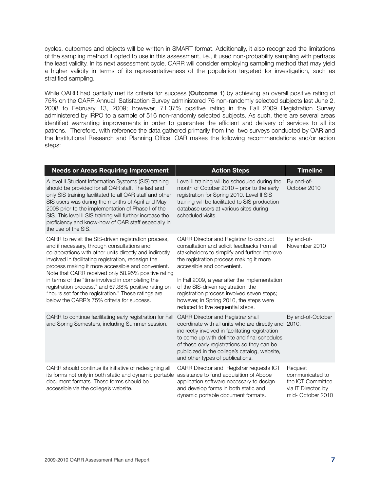cycles, outcomes and objects will be written in SMART format. Additionally, it also recognized the limitations of the sampling method it opted to use in this assessment, i.e., it used non-probability sampling with perhaps the least validity. In its next assessment cycle, OARR will consider employing sampling method that may yield a higher validity in terms of its representativeness of the population targeted for investigation, such as stratified sampling.

While OARR had partially met its criteria for success (**Outcome 1**) by achieving an overall positive rating of 75% on the OARR Annual Satisfaction Survey administered 76 non-randomly selected subjects last June 2, 2008 to February 13, 2009; however, 71.37% positive rating in the Fall 2009 Registration Survey administered by IRPO to a sample of 516 non-randomly selected subjects. As such, there are several areas identified warranting improvements in order to guarantee the efficient and delivery of services to all its patrons. Therefore, with reference the data gathered primarily from the two surveys conducted by OAR and the Institutional Research and Planning Office, OAR makes the following recommendations and/or action steps:

| <b>Needs or Areas Requiring Improvement</b>                                                                                                                                                                                                                                                                                                                                                                                                                                                                                                        | <b>Action Steps</b>                                                                                                                                                                                                                                                                                                                                                                                                                  | <b>Timeline</b>                                                                            |
|----------------------------------------------------------------------------------------------------------------------------------------------------------------------------------------------------------------------------------------------------------------------------------------------------------------------------------------------------------------------------------------------------------------------------------------------------------------------------------------------------------------------------------------------------|--------------------------------------------------------------------------------------------------------------------------------------------------------------------------------------------------------------------------------------------------------------------------------------------------------------------------------------------------------------------------------------------------------------------------------------|--------------------------------------------------------------------------------------------|
| A level II Student Information Systems (SIS) training<br>should be provided for all OAR staff. The last and<br>only SIS training facilitated to all OAR staff and other<br>SIS users was during the months of April and May<br>2008 prior to the implementation of Phase I of the<br>SIS. This level II SIS training will further increase the<br>proficiency and know-how of OAR staff especially in<br>the use of the SIS.                                                                                                                       | Level II training will be scheduled during the<br>month of October 2010 – prior to the early<br>registration for Spring 2010. Level II SIS<br>training will be facilitated to SIS production<br>database users at various sites during<br>scheduled visits.                                                                                                                                                                          | By end-of-<br>October 2010                                                                 |
| OARR to revisit the SIS-driven registration process,<br>and if necessary, through consultations and<br>collaborations with other units directly and indirectly<br>involved in facilitating registration, redesign the<br>process making it more accessible and convenient.<br>Note that OARR received only 58.95% positive rating<br>in terms of the "time involved in completing the<br>registration process," and 67.38% positive rating on<br>"hours set for the registration." These ratings are<br>below the OARR's 75% criteria for success. | OARR Director and Registrar to conduct<br>consultation and solicit feedbacks from all<br>stakeholders to simplify and further improve<br>the registration process making it more<br>accessible and convenient.<br>In Fall 2009, a year after the implementation<br>of the SIS-driven registration, the<br>registration process involved seven steps;<br>however, in Spring 2010, the steps were<br>reduced to five sequential steps. | By end-of-<br>November 2010                                                                |
| OARR to continue facilitating early registration for Fall<br>and Spring Semesters, including Summer session.                                                                                                                                                                                                                                                                                                                                                                                                                                       | <b>OARR Director and Registrar shall</b><br>coordinate with all units who are directly and 2010.<br>indirectly involved in facilitating registration<br>to come up with definite and final schedules<br>of these early registrations so they can be<br>publicized in the college's catalog, website,<br>and other types of publications.                                                                                             | By end-of-October                                                                          |
| OARR should continue its initiative of redesigning all<br>its forms not only in both static and dynamic portable<br>document formats. These forms should be<br>accessible via the college's website.                                                                                                                                                                                                                                                                                                                                               | OARR Director and Registrar requests ICT<br>assistance to fund acquisition of Abobe<br>application software necessary to design<br>and develop forms in both static and<br>dynamic portable document formats.                                                                                                                                                                                                                        | Request<br>communicated to<br>the ICT Committee<br>via IT Director, by<br>mid-October 2010 |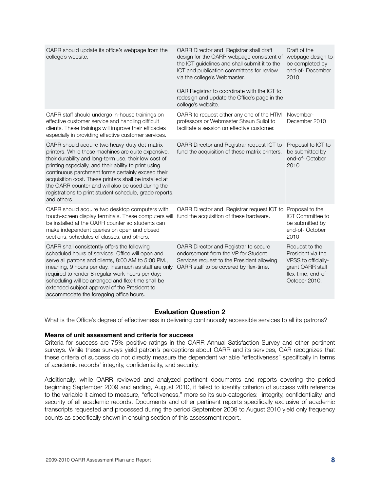| OARR should update its office's webpage from the<br>college's website.                                                                                                                                                                                                                                                                                                                                                                                               | OARR Director and Registrar shall draft<br>design for the OARR webpage consistent of<br>the ICT guidelines and shall submit it to the<br>ICT and publication committees for review<br>via the college's Webmaster. | Draft of the<br>webpage design to<br>be completed by<br>end-of-December<br>2010                                       |
|----------------------------------------------------------------------------------------------------------------------------------------------------------------------------------------------------------------------------------------------------------------------------------------------------------------------------------------------------------------------------------------------------------------------------------------------------------------------|--------------------------------------------------------------------------------------------------------------------------------------------------------------------------------------------------------------------|-----------------------------------------------------------------------------------------------------------------------|
|                                                                                                                                                                                                                                                                                                                                                                                                                                                                      | OAR Registrar to coordinate with the ICT to<br>redesign and update the Office's page in the<br>college's website.                                                                                                  |                                                                                                                       |
| OARR staff should undergo in-house trainings on<br>effective customer service and handling difficult<br>clients. These trainings will improve their efficacies<br>especially in providing effective customer services.                                                                                                                                                                                                                                               | OARR to request either any one of the HTM<br>professors or Webmaster Shaun Suliol to<br>facilitate a session on effective customer.                                                                                | November-<br>December 2010                                                                                            |
| OARR should acquire two heavy-duty dot-matrix<br>printers. While these machines are quite expensive,<br>their durability and long-term use, their low cost of<br>printing especially, and their ability to print using<br>continuous parchment forms certainly exceed their<br>acquisition cost. These printers shall be installed at<br>the OARR counter and will also be used during the<br>registrations to print student schedule, grade reports,<br>and others. | OARR Director and Registrar request ICT to<br>fund the acquisition of these matrix printers.                                                                                                                       | Proposal to ICT to<br>be submitted by<br>end-of-October<br>2010                                                       |
| OARR should acquire two desktop computers with<br>touch-screen display terminals. These computers will<br>be installed at the OARR counter so students can<br>make independent queries on open and closed<br>sections, schedules of classes, and others.                                                                                                                                                                                                             | OARR Director and Registrar request ICT to<br>fund the acquisition of these hardware.                                                                                                                              | Proposal to the<br>ICT Committee to<br>be submitted by<br>end-of-October<br>2010                                      |
| OARR shall consistently offers the following<br>scheduled hours of services: Office will open and<br>serve all patrons and clients, 8:00 AM to 5:00 PM.,<br>meaning, 9 hours per day. Inasmuch as staff are only<br>required to render 8 regular work hours per day;<br>scheduling will be arranged and flex-time shall be<br>extended subject approval of the President to<br>accommodate the foregoing office hours.                                               | OARR Director and Registrar to secure<br>endorsement from the VP for Student<br>Services request to the President allowing<br>OARR staff to be covered by flex-time.                                               | Request to the<br>President via the<br>VPSS to officially-<br>grant OARR staff<br>flex-time, end-of-<br>October 2010. |

# **Evaluation Question 2**

What is the Office's degree of effectiveness in delivering continuously accessible services to all its patrons?

#### **Means of unit assessment and criteria for success**

Criteria for success are 75% positive ratings in the OARR Annual Satisfaction Survey and other pertinent surveys. While these surveys yield patron's perceptions about OARR and its services, OAR recognizes that these criteria of success do not directly measure the dependent variable "effectiveness" specifically in terms of academic records' integrity, confidentiality, and security.

Additionally, while OARR reviewed and analyzed pertinent documents and reports covering the period beginning September 2009 and ending, August 2010, it failed to identify criterion of success with reference to the variable it aimed to measure, "effectiveness," more so its sub-categories: integrity, confidentiality, and security of all academic records. Documents and other pertinent reports specifically exclusive of academic transcripts requested and processed during the period September 2009 to August 2010 yield only frequency counts as specifically shown in ensuing section of this assessment report.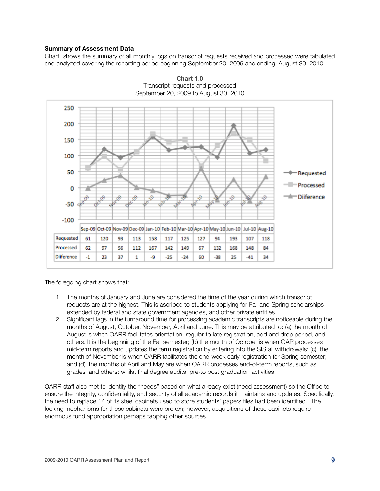#### **Summary of Assessment Data**

Chart shows the summary of all monthly logs on transcript requests received and processed were tabulated and analyzed covering the reporting period beginning September 20, 2009 and ending, August 30, 2010.





The foregoing chart shows that:

- 1. The months of January and June are considered the time of the year during which transcript requests are at the highest. This is ascribed to students applying for Fall and Spring scholarships extended by federal and state government agencies, and other private entities.
- 2. Significant lags in the turnaround time for processing academic transcripts are noticeable during the months of August, October, November, April and June. This may be attributed to: (a) the month of August is when OARR facilitates orientation, regular to late registration, add and drop period, and others. It is the beginning of the Fall semester; (b) the month of October is when OAR processes mid-term reports and updates the term registration by entering into the SIS all withdrawals; (c) the month of November is when OARR facilitates the one-week early registration for Spring semester; and (d) the months of April and May are when OARR processes end-of-term reports, such as grades, and others; whilst final degree audits, pre-to post graduation activities

OARR staff also met to identify the "needs" based on what already exist (need assessment) so the Office to ensure the integrity, confidentiality, and security of all academic records it maintains and updates. Specifically, the need to replace 14 of its steel cabinets used to store students' papers files had been identified. The locking mechanisms for these cabinets were broken; however, acquisitions of these cabinets require enormous fund appropriation perhaps tapping other sources.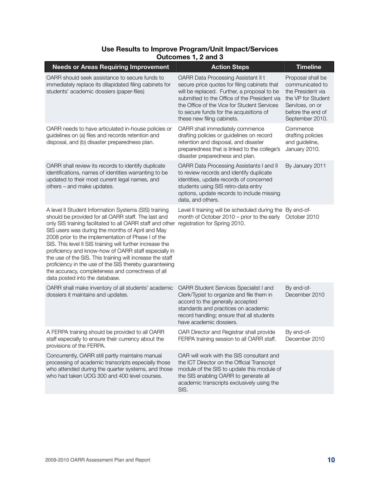# **Use Results to Improve Program/Unit Impact/Services Outcomes 1, 2 and 3**

| <b>Needs or Areas Requiring Improvement</b>                                                                                                                                                                                                                                                                                                                                                                                                                                                                                                                                                                            | <b>Action Steps</b>                                                                                                                                                                                                                                                                                        | <b>Timeline</b>                                                                                                                            |
|------------------------------------------------------------------------------------------------------------------------------------------------------------------------------------------------------------------------------------------------------------------------------------------------------------------------------------------------------------------------------------------------------------------------------------------------------------------------------------------------------------------------------------------------------------------------------------------------------------------------|------------------------------------------------------------------------------------------------------------------------------------------------------------------------------------------------------------------------------------------------------------------------------------------------------------|--------------------------------------------------------------------------------------------------------------------------------------------|
| OARR should seek assistance to secure funds to<br>immediately replace its dilapidated filing cabinets for<br>students' academic dossiers (paper-files)                                                                                                                                                                                                                                                                                                                                                                                                                                                                 | OARR Data Processing Assistant II t<br>secure price quotes for filing cabinets that<br>will be replaced. Further, a proposal to be<br>submitted to the Office of the President via<br>the Office of the Vice for Student Services<br>to secure funds for the acquisitions of<br>these new filing cabinets. | Proposal shall be<br>communicated to<br>the President via<br>the VP for Student<br>Services, on or<br>before the end of<br>September 2010. |
| OARR needs to have articulated in-house policies or<br>guidelines on (a) files and records retention and<br>disposal, and (b) disaster preparedness plan.                                                                                                                                                                                                                                                                                                                                                                                                                                                              | OARR shall immediately commence<br>drafting policies or guidelines on record<br>retention and disposal, and disaster<br>preparedness that is linked to the college's<br>disaster preparedness and plan.                                                                                                    | Commence<br>drafting policies<br>and guideline,<br>January 2010.                                                                           |
| OARR shall review its records to identify duplicate<br>identifications, names of identities warranting to be<br>updated to their most current legal names, and<br>others - and make updates.                                                                                                                                                                                                                                                                                                                                                                                                                           | OARR Data Processing Assistants I and II<br>to review records and identify duplicate<br>identities, update records of concerned<br>students using SIS retro-data entry<br>options, update records to include missing<br>data, and others.                                                                  | By January 2011                                                                                                                            |
| A level II Student Information Systems (SIS) training<br>should be provided for all OARR staff. The last and<br>only SIS training facilitated to all OARR staff and other<br>SIS users was during the months of April and May<br>2008 prior to the implementation of Phase I of the<br>SIS. This level II SIS training will further increase the<br>proficiency and know-how of OARR staff especially in<br>the use of the SIS. This training will increase the staff<br>proficiency in the use of the SIS thereby guaranteeing<br>the accuracy, completeness and correctness of all<br>data posted into the database. | Level II training will be scheduled during the By end-of-<br>month of October 2010 – prior to the early<br>registration for Spring 2010.                                                                                                                                                                   | October 2010                                                                                                                               |
| OARR shall make inventory of all students' academic<br>dossiers it maintains and updates.                                                                                                                                                                                                                                                                                                                                                                                                                                                                                                                              | OARR Student Services Specialist I and<br>Clerk/Typist to organize and file them in<br>accord to the generally accepted<br>standards and practices on academic<br>record handling; ensure that all students<br>have academic dossiers.                                                                     | By end-of-<br>December 2010                                                                                                                |
| A FERPA training should be provided to all OARR<br>staff especially to ensure their currency about the<br>provisions of the FERPA.                                                                                                                                                                                                                                                                                                                                                                                                                                                                                     | OAR Director and Registrar shall provide<br>FERPA training session to all OARR staff.                                                                                                                                                                                                                      | By end-of-<br>December 2010                                                                                                                |
| Concurrently, OARR still partly maintains manual<br>processing of academic transcripts especially those<br>who attended during the quarter systems, and those<br>who had taken UOG 300 and 400 level courses.                                                                                                                                                                                                                                                                                                                                                                                                          | OAR will work with the SIS consultant and<br>the ICT Director on the Official Transcript<br>module of the SIS to update this module of<br>the SIS enabling OARR to generate all<br>academic transcripts exclusively using the<br>SIS.                                                                      |                                                                                                                                            |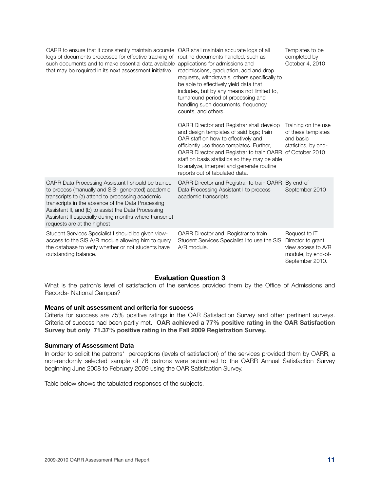| OARR to ensure that it consistently maintain accurate OAR shall maintain accurate logs of all<br>logs of documents processed for effective tracking of<br>such documents and to make essential data available<br>that may be required in its next assessment initiative.                                                                                         | routine documents handled, such as<br>applications for admissions and<br>readmissions, graduation, add and drop<br>requests, withdrawals, others specifically to<br>be able to effectively yield data that<br>includes, but by any means not limited to,<br>turnaround period of processing and<br>handling such documents, frequency<br>counts, and others. | Templates to be<br>completed by<br>October 4, 2010                                                |
|------------------------------------------------------------------------------------------------------------------------------------------------------------------------------------------------------------------------------------------------------------------------------------------------------------------------------------------------------------------|--------------------------------------------------------------------------------------------------------------------------------------------------------------------------------------------------------------------------------------------------------------------------------------------------------------------------------------------------------------|---------------------------------------------------------------------------------------------------|
|                                                                                                                                                                                                                                                                                                                                                                  | OARR Director and Registrar shall develop<br>and design templates of said logs; train<br>OAR staff on how to effectively and<br>efficiently use these templates. Further,<br>OARR Director and Registrar to train OARR<br>staff on basis statistics so they may be able<br>to analyze, interpret and generate routine<br>reports out of tabulated data.      | Training on the use<br>of these templates<br>and basic<br>statistics, by end-<br>of October 2010  |
| OARR Data Processing Assistant I should be trained<br>to process (manually and SIS- generated) academic<br>transcripts to (a) attend to processing academic<br>transcripts in the absence of the Data Processing<br>Assistant II, and (b) to assist the Data Processing<br>Assistant II especially during months where transcript<br>requests are at the highest | OARR Director and Registrar to train OARR By end-of-<br>Data Processing Assistant I to process<br>academic transcripts.                                                                                                                                                                                                                                      | September 2010                                                                                    |
| Student Services Specialist I should be given view-<br>access to the SIS A/R module allowing him to query<br>the database to verify whether or not students have<br>outstanding balance.                                                                                                                                                                         | OARR Director and Registrar to train<br>Student Services Specialist I to use the SIS<br>A/R module.                                                                                                                                                                                                                                                          | Request to IT<br>Director to grant<br>view access to A/R<br>module, by end-of-<br>September 2010. |

# **Evaluation Question 3**

What is the patron's level of satisfaction of the services provided them by the Office of Admissions and Records- National Campus?

#### **Means of unit assessment and criteria for success**

Criteria for success are 75% positive ratings in the OAR Satisfaction Survey and other pertinent surveys. Criteria of success had been partly met. **OAR achieved a 77% positive rating in the OAR Satisfaction Survey but only 71.37% positive rating in the Fall 2009 Registration Survey.**

#### **Summary of Assessment Data**

In order to solicit the patrons' perceptions (levels of satisfaction) of the services provided them by OARR, a non-randomly selected sample of 76 patrons were submitted to the OARR Annual Satisfaction Survey beginning June 2008 to February 2009 using the OAR Satisfaction Survey.

Table below shows the tabulated responses of the subjects.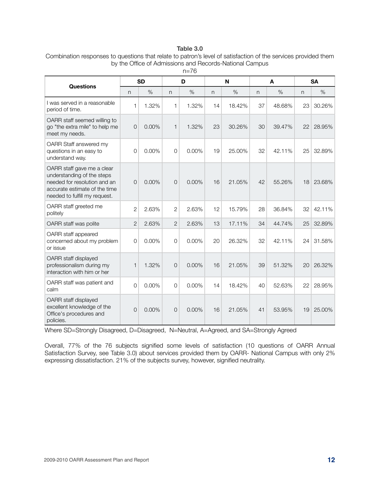#### **Table 3.0**

| Combination responses to questions that relate to patron's level of satisfaction of the services provided them |
|----------------------------------------------------------------------------------------------------------------|
| by the Office of Admissions and Records-National Campus                                                        |

|                                                                                                                                                            |                | <b>SD</b> |                | D        |    | N      | A  |        | <b>SA</b> |        |
|------------------------------------------------------------------------------------------------------------------------------------------------------------|----------------|-----------|----------------|----------|----|--------|----|--------|-----------|--------|
| <b>Questions</b>                                                                                                                                           | n              | %         | $\mathsf{n}$   | $\%$     | n  | %      | n  | $\%$   | n         | $\%$   |
| I was served in a reasonable<br>period of time.                                                                                                            | $\mathbf{1}$   | 1.32%     | 1              | 1.32%    | 14 | 18.42% | 37 | 48.68% | 23        | 30.26% |
| OARR staff seemed willing to<br>go "the extra mile" to help me<br>meet my needs.                                                                           | $\Omega$       | 0.00%     | 1              | 1.32%    | 23 | 30.26% | 30 | 39.47% | 22        | 28.95% |
| OARR Staff answered my<br>questions in an easy to<br>understand way.                                                                                       | $\Omega$       | 0.00%     | $\overline{0}$ | 0.00%    | 19 | 25.00% | 32 | 42.11% | 25        | 32.89% |
| OARR staff gave me a clear<br>understanding of the steps<br>needed for resolution and an<br>accurate estimate of the time<br>needed to fulfill my request. | $\Omega$       | $0.00\%$  | $\Omega$       | $0.00\%$ | 16 | 21.05% | 42 | 55.26% | 18        | 23.68% |
| OARR staff greeted me<br>politely                                                                                                                          | $\overline{2}$ | 2.63%     | $\overline{2}$ | 2.63%    | 12 | 15.79% | 28 | 36.84% | 32        | 42.11% |
| OARR staff was polite                                                                                                                                      | $\overline{2}$ | 2.63%     | $\overline{2}$ | 2.63%    | 13 | 17.11% | 34 | 44.74% | 25        | 32.89% |
| OARR staff appeared<br>concerned about my problem<br>or issue                                                                                              | $\Omega$       | 0.00%     | $\overline{0}$ | 0.00%    | 20 | 26.32% | 32 | 42.11% | 24        | 31.58% |
| OARR staff displayed<br>professionalism during my<br>interaction with him or her                                                                           | 1              | 1.32%     | $\overline{0}$ | 0.00%    | 16 | 21.05% | 39 | 51.32% | 20        | 26.32% |
| OARR staff was patient and<br>calm                                                                                                                         | $\Omega$       | 0.00%     | $\Omega$       | 0.00%    | 14 | 18.42% | 40 | 52.63% | 22        | 28.95% |
| OARR staff displayed<br>excellent knowledge of the<br>Office's procedures and<br>policies.                                                                 | $\Omega$       | 0.00%     | $\Omega$       | 0.00%    | 16 | 21.05% | 41 | 53.95% | 19        | 25.00% |

n=76

Where SD=Strongly Disagreed, D=Disagreed, N=Neutral, A=Agreed, and SA=Strongly Agreed

Overall, 77% of the 76 subjects signified some levels of satisfaction (10 questions of OARR Annual Satisfaction Survey, see Table 3.0) about services provided them by OARR- National Campus with only 2% expressing dissatisfaction. 21% of the subjects survey, however, signified neutrality.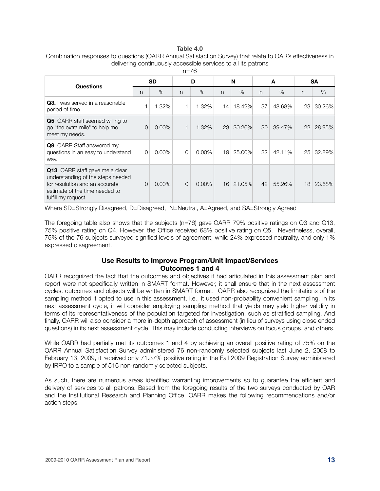#### **Table 4.0**

| Combination responses to questions (OARR Annual Satisfaction Survey) that relate to OAR's effectiveness in |
|------------------------------------------------------------------------------------------------------------|
| delivering continuously accessible services to all its patrons                                             |

| <b>Questions</b>                                                                                                                                                       | <b>SD</b> |          | D              |          | N  |        | A            |        | SA |        |
|------------------------------------------------------------------------------------------------------------------------------------------------------------------------|-----------|----------|----------------|----------|----|--------|--------------|--------|----|--------|
|                                                                                                                                                                        | n         | $\%$     | n              | $\%$     | n  | $\%$   | $\mathsf{n}$ | $\%$   | n  | $\%$   |
| <b>Q3.</b> I was served in a reasonable<br>period of time                                                                                                              |           | 1.32%    | 1              | 1.32%    | 14 | 18.42% | 37           | 48.68% | 23 | 30.26% |
| <b>Q5.</b> OARR staff seemed willing to<br>go "the extra mile" to help me<br>meet my needs.                                                                            | 0         | $0.00\%$ | 1              | 1.32%    | 23 | 30.26% | 30           | 39.47% | 22 | 28.95% |
| <b>Q9.</b> OARR Staff answered my<br>questions in an easy to understand<br>way.                                                                                        | 0         | $0.00\%$ | 0              | $0.00\%$ | 19 | 25.00% | 32           | 42.11% | 25 | 32.89% |
| <b>Q13.</b> OARR staff gave me a clear<br>understanding of the steps needed<br>for resolution and an accurate<br>estimate of the time needed to<br>fulfill my request. | 0         | $0.00\%$ | $\overline{0}$ | $0.00\%$ | 16 | 21.05% | 42           | 55.26% | 18 | 23.68% |

 $n=76$ 

Where SD=Strongly Disagreed, D=Disagreed, N=Neutral, A=Agreed, and SA=Strongly Agreed

The foregoing table also shows that the subjects (n=76) gave OARR 79% positive ratings on Q3 and Q13, 75% positive rating on Q4. However, the Office received 68% positive rating on Q5. Nevertheless, overall, 75% of the 76 subjects surveyed signified levels of agreement; while 24% expressed neutrality, and only 1% expressed disagreement.

# **Use Results to Improve Program/Unit Impact/Services Outcomes 1 and 4**

OARR recognized the fact that the outcomes and objectives it had articulated in this assessment plan and report were not specifically written in SMART format. However, it shall ensure that in the next assessment cycles, outcomes and objects will be written in SMART format. OARR also recognized the limitations of the sampling method it opted to use in this assessment, i.e., it used non-probability convenient sampling. In its next assessment cycle, it will consider employing sampling method that yields may yield higher validity in terms of its representativeness of the population targeted for investigation, such as stratified sampling. And finally, OARR will also consider a more in-depth approach of assessment (in lieu of surveys using close ended questions) in its next assessment cycle. This may include conducting interviews on focus groups, and others.

While OARR had partially met its outcomes 1 and 4 by achieving an overall positive rating of 75% on the OARR Annual Satisfaction Survey administered 76 non-randomly selected subjects last June 2, 2008 to February 13, 2009, it received only 71.37% positive rating in the Fall 2009 Registration Survey administered by IRPO to a sample of 516 non-randomly selected subjects.

As such, there are numerous areas identified warranting improvements so to guarantee the efficient and delivery of services to all patrons. Based from the foregoing results of the two surveys conducted by OAR and the Institutional Research and Planning Office, OARR makes the following recommendations and/or action steps.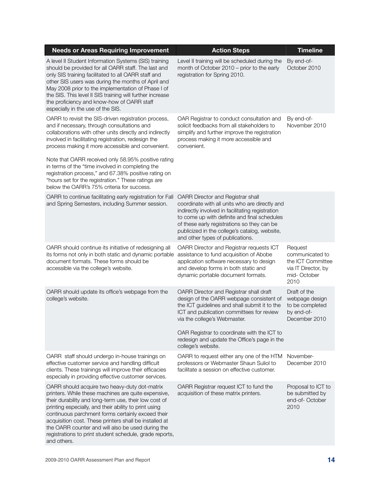| <b>Needs or Areas Requiring Improvement</b>                                                                                                                                                                                                                                                                                                                                                                                                                                                                                                        | <b>Action Steps</b>                                                                                                                                                                                                                                                                                                                    | <b>Timeline</b>                                                                               |
|----------------------------------------------------------------------------------------------------------------------------------------------------------------------------------------------------------------------------------------------------------------------------------------------------------------------------------------------------------------------------------------------------------------------------------------------------------------------------------------------------------------------------------------------------|----------------------------------------------------------------------------------------------------------------------------------------------------------------------------------------------------------------------------------------------------------------------------------------------------------------------------------------|-----------------------------------------------------------------------------------------------|
| A level II Student Information Systems (SIS) training<br>should be provided for all OARR staff. The last and<br>only SIS training facilitated to all OARR staff and<br>other SIS users was during the months of April and<br>May 2008 prior to the implementation of Phase I of<br>the SIS. This level II SIS training will further increase<br>the proficiency and know-how of OARR staff<br>especially in the use of the SIS.                                                                                                                    | Level II training will be scheduled during the<br>month of October 2010 - prior to the early<br>registration for Spring 2010.                                                                                                                                                                                                          | By end-of-<br>October 2010                                                                    |
| OARR to revisit the SIS-driven registration process,<br>and if necessary, through consultations and<br>collaborations with other units directly and indirectly<br>involved in facilitating registration, redesign the<br>process making it more accessible and convenient.<br>Note that OARR received only 58.95% positive rating<br>in terms of the "time involved in completing the<br>registration process," and 67.38% positive rating on<br>"hours set for the registration." These ratings are<br>below the OARR's 75% criteria for success. | OAR Registrar to conduct consultation and<br>solicit feedbacks from all stakeholders to<br>simplify and further improve the registration<br>process making it more accessible and<br>convenient.                                                                                                                                       | By end-of-<br>November 2010                                                                   |
| OARR to continue facilitating early registration for Fall<br>and Spring Semesters, including Summer session.                                                                                                                                                                                                                                                                                                                                                                                                                                       | <b>OARR Director and Registrar shall</b><br>coordinate with all units who are directly and<br>indirectly involved in facilitating registration<br>to come up with definite and final schedules<br>of these early registrations so they can be<br>publicized in the college's catalog, website,<br>and other types of publications.     |                                                                                               |
| OARR should continue its initiative of redesigning all<br>its forms not only in both static and dynamic portable<br>document formats. These forms should be<br>accessible via the college's website.                                                                                                                                                                                                                                                                                                                                               | OARR Director and Registrar requests ICT<br>assistance to fund acquisition of Abobe<br>application software necessary to design<br>and develop forms in both static and<br>dynamic portable document formats.                                                                                                                          | Request<br>communicated to<br>the ICT Committee<br>via IT Director, by<br>mid-October<br>2010 |
| OARR should update its office's webpage from the<br>college's website.                                                                                                                                                                                                                                                                                                                                                                                                                                                                             | OARR Director and Registrar shall draft<br>design of the OARR webpage consistent of<br>the ICT guidelines and shall submit it to the<br>ICT and publication committees for review<br>via the college's Webmaster.<br>OAR Registrar to coordinate with the ICT to<br>redesign and update the Office's page in the<br>college's website. | Draft of the<br>webpage design<br>to be completed<br>by end-of-<br>December 2010              |
| OARR staff should undergo in-house trainings on<br>effective customer service and handling difficult<br>clients. These trainings will improve their efficacies<br>especially in providing effective customer services.                                                                                                                                                                                                                                                                                                                             | OARR to request either any one of the HTM<br>professors or Webmaster Shaun Suliol to<br>facilitate a session on effective customer.                                                                                                                                                                                                    | November-<br>December 2010                                                                    |
| OARR should acquire two heavy-duty dot-matrix<br>printers. While these machines are quite expensive,<br>their durability and long-term use, their low cost of<br>printing especially, and their ability to print using<br>continuous parchment forms certainly exceed their<br>acquisition cost. These printers shall be installed at<br>the OARR counter and will also be used during the<br>registrations to print student schedule, grade reports,<br>and others.                                                                               | OARR Registrar request ICT to fund the<br>acquisition of these matrix printers.                                                                                                                                                                                                                                                        | Proposal to ICT to<br>be submitted by<br>end-of-October<br>2010                               |